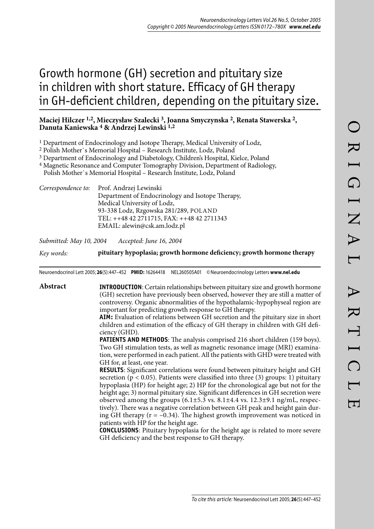# Growth hormone (GH) secretion and pituitary size in children with short stature. Efficacy of GH therapy in GH-deficient children, depending on the pituitary size.

# **Maciej Hilczer 1,2, Mieczysław Szalecki 3, Joanna Smyczynska 2, Renata Stawerska 2, Danuta Kaniewska 4 & Andrzej Lewinski 1,2**

<sup>1</sup> Department of Endocrinology and Isotope Therapy, Medical University of Lodz,

2 Polish Mother`s Memorial Hospital – Research Institute, Lodz, Poland

3 Department of Endocrinology and Diabetology, Children's Hospital, Kielce, Poland

4 Magnetic Resonance and Computer Tomography Division, Department of Radiology,

Polish Mother`s Memorial Hospital – Research Institute, Lodz, Poland

*Correspondence to:* Prof. Andrzej Lewinski Department of Endocrinology and Isotope Therapy, Medical University of Lodz, 93-338 Lodz, Rzgowska 281/289, POLAND TEL: ++48 42 2711715, FAX: ++48 42 2711343 EMAIL: alewin@csk.am.lodz.pl

*Submitted: May 10, 2004 Accepted: June 16, 2004*

*Key words:* **pituitary hypoplasia; growth hormone deficiency; growth hormone therapy**

Neuroendocrinol Lett 2005; **26**(5):447–452 **PMID:** 16264418 NEL260505A01 © Neuroendocrinology Letters **www.nel.edu**

**Abstract INTRODUCTION**: Certain relationships between pituitary size and growth hormone (GH) secretion have previously been observed, however they are still a matter of controversy. Organic abnormalities of the hypothalamic-hypophyseal region are important for predicting growth response to GH therapy. **AIM:** Evaluation of relations between GH secretion and the pituitary size in short children and estimation of the efficacy of GH therapy in children with GH deficiency (GHD). **PATIENTS AND METHODS**: The analysis comprised 216 short children (159 boys). Two GH stimulation tests, as well as magnetic resonance image (MRI) examination, were performed in each patient. All the patients with GHD were treated with GH for, at least, one year. **RESULTS**: Significant correlations were found between pituitary height and GH secretion ( $p < 0.05$ ). Patients were classified into three (3) groups: 1) pituitary hypoplasia (HP) for height age; 2) HP for the chronological age but not for the height age; 3) normal pituitary size. Significant differences in GH secretion were observed among the groups  $(6.1\pm5.3 \text{ vs. } 8.1\pm4.4 \text{ vs. } 12.3\pm9.1 \text{ ng/mL}, \text{respect-}$ tively). There was a negative correlation between GH peak and height gain during GH therapy  $(r = -0.34)$ . The highest growth improvement was noticed in patients with HP for the height age. **CONCLUSIONS**: Pituitary hypoplasia for the height age is related to more severe

GH deficiency and the best response to GH therapy.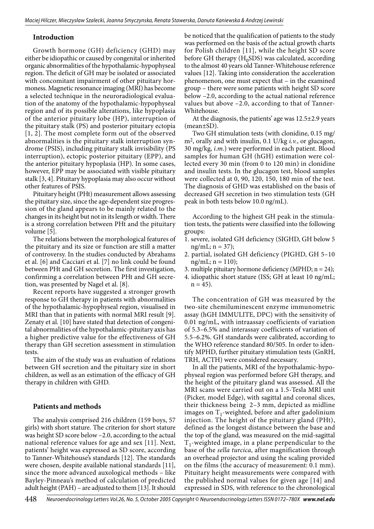## **Introduction**

Growth hormone (GH) deficiency (GHD) may either be idiopathic or caused by congenital or inherited organic abnormalities of the hypothalamic-hypophyseal region. The deficit of GH may be isolated or associated with concomitant impairment of other pituitary hormoness. Magnetic resonance imaging (MRI) has become a selected technique in the neuroradiological evaluation of the anatomy of the hypothalamic-hypophyseal region and of its possible alterations, like hypoplasia of the anterior pituitary lobe (HP), interruption of the pituitary stalk (PS) and posterior pituitary ectopia [1, 2]. The most complete form out of the observed abnormalities is the pituitary stalk interruption syndrome (PSIS), including pituitary stalk invisibility (PS interruption), ectopic posterior pituitary (EPP), and the anterior pituitary hypoplasia (HP). In some cases, however, EPP may be associated with visible pituitary stalk [3, 4]. Pituitary hypoplasia may also occur without other features of PSIS.

Pituitary height (PHt) measurement allows assessing the pituitary size, since the age-dependent size progression of the gland appears to be mainly related to the changes in its height but not in its length or width. There is a strong correlation between PHt and the pituitary volume [5].

The relations between the morphological features of the pituitary and its size or function are still a matter of controversy. In the studies conducted by Abrahams et al. [6] and Cacciari et al. [7] no link could be found between PHt and GH secretion. The first investigation, confirming a correlation between PHt and GH secretion, was presented by Nagel et al. [8].

Recent reports have suggested a stronger growth response to GH therapy in patients with abnormalities of the hypothalamic-hypophyseal region, visualised in MRI than that in patients with normal MRI result [9]. Zenaty et al. [10] have stated that detection of congenital abnormalities of the hypothalamic-pituitary axis has a higher predictive value for the effectiveness of GH therapy than GH secretion assessment in stimulation tests.

The aim of the study was an evaluation of relations between GH secretion and the pituitary size in short children, as well as an estimation of the efficacy of GH therapy in children with GHD.

## **Patients and methods**

The analysis comprised 216 children (159 boys, 57 girls) with short stature. The criterion for short stature was height SD score below –2.0, according to the actual national reference values for age and sex [11]. Next, patients' height was expressed as SD score, according to Tanner-Whitehouse's standards [12]. The standards were chosen, despite available national standards [11], since the more advanced auxological methods – like Bayley-Pinneau's method of calculation of predicted adult height (PAH) – are adjusted to them [13]. It should

be noticed that the qualification of patients to the study was performed on the basis of the actual growth charts for Polish children [11], while the height SD score before GH therapy  $(H_0SDS)$  was calculated, according to the almost 40 years old Tanner-Whitehouse reference values [12]. Taking into consideration the acceleration phenomenon, one must expect that – in the examined group – there were some patients with height SD score below –2.0, according to the actual national reference values but above –2.0, according to that of Tanner-Whitehouse.

At the diagnosis, the patients' age was 12.5±2.9 years (mean±SD).

Two GH stimulation tests (with clonidine, 0.15 mg/ m2, orally and with insulin, 0.1 U/kg *i.v.*, or glucagon, 30 mg/kg, *i.m.*) were performed in each patient. Blood samples for human GH (hGH) estimation were collected every 30 min (from 0 to 120 min) in clonidine and insulin tests. In the glucagon test, blood samples were collected at 0, 90, 120, 150, 180 min of the test. The diagnosis of GHD was established on the basis of decreased GH secretion in two stimulation tests (GH peak in both tests below 10.0 ng/mL).

According to the highest GH peak in the stimulation tests, the patients were classified into the following groups:

- 1. severe, isolated GH deficiency (SIGHD, GH below 5  $ng/mL; n = 37);$
- 2. partial, isolated GH deficiency (PIGHD, GH 5–10  $ng/mL; n = 110);$
- 3. multiple pituitary hormone deficiency (MPHD; n = 24);
- 4. idiopathic short stature (ISS; GH at least 10 ng/mL;  $n = 45$ ).

The concentration of GH was measured by the two-site chemiluminescent enzyme immunometric assay (hGH IMMULITE, DPC) with the sensitivity of 0.01 ng/mL, with intraassay coefficients of variation of 5.3–6.5% and interassay coefficients of variation of 5.5–6.2%. GH standards were calibrated, according to the WHO reference standard 80/505. In order to identify MPHD, further pituitary stimulation tests (GnRH, TRH, ACTH) were considered necessary.

In all the patients, MRI of the hypothalamic-hypophyseal region was performed before GH therapy, and the height of the pituitary gland was assessed. All the MRI scans were carried out on a 1.5-Tesla MRI unit (Picker, model Edge), with sagittal and coronal slices, their thickness being 2–3 mm, depicted as midline images on  $T_1$ -weighted, before and after gadolinium injection. The height of the pituitary gland (PHt), defined as the longest distance between the base and the top of the gland, was measured on the mid-sagittal  $T_1$ -weighted image, in a plane perpendicular to the base of the *sella turcica*, after magnification through an overhead projector and using the scaling provided on the films (the accuracy of measurement: 0.1 mm). Pituitary height measurements were compared with the published normal values for given age [14] and expressed in SDS, with reference to the chronological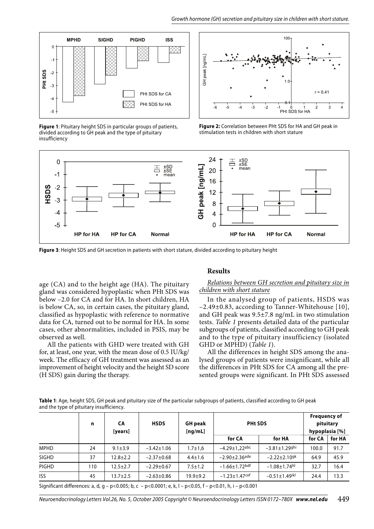

**Figure 1**: Pituitary height SDS in particular groups of patients, divided according to GH peak and the type of pituitary insufficiency



**Figure 2:** Correlation between PHt SDS for HA and GH peak in stimulation tests in children with short stature



**Figure 3**: Height SDS and GH secretion in patients with short stature, divided according to pituitary height

age (CA) and to the height age (HA). The pituitary gland was considered hypoplastic when PHt SDS was below –2.0 for CA and for HA. In short children, HA is below CA, so, in certain cases, the pituitary gland, classified as hypoplastic with reference to normative data for CA, turned out to be normal for HA. In some cases, other abnormalities, included in PSIS, may be observed as well.

All the patients with GHD were treated with GH for, at least, one year, with the mean dose of 0.5 IU/kg/ week. The efficacy of GH treatment was assessed as an improvement of height velocity and the height SD score (H SDS) gain during the therapy.

## **Results**

#### *Relations between GH secretion and pituitary size in children with short stature*

In the analysed group of patients, HSDS was –2.49±0.83, according to Tanner-Whitehouse [10], and GH peak was 9.5±7.8 ng/mL in two stimulation tests. *Table 1* presents detailed data of the particular subgroups of patients, classified according to GH peak and to the type of pituitary insufficiency (isolated GHD or MPHD) (*Table 1*).

All the differences in height SDS among the analysed groups of patients were insignificant, while all the differences in PHt SDS for CA among all the presented groups were significant. In PHt SDS assessed

**Table 1**: Age, height SDS, GH peak and pituitary size of the particular subgroups of patients, classified according to GH peak and the type of pituitary insufficiency.

|               |                  | [ng/mL]       |                                 |                                 | hypoplasia [%] |        |
|---------------|------------------|---------------|---------------------------------|---------------------------------|----------------|--------|
|               |                  |               | for CA                          | for HA                          | for CA         | for HA |
| $9.1 \pm 3.9$ | $-3.42 \pm 1.06$ | $1.7 \pm 1.6$ | $-4.29 \pm 1.22$ abc            | $-3.81 \pm 1.29$ ghi            | 100.0          | 91.7   |
| $12.8 + 2.2$  | $-2.37 \pm 0.68$ | $4.4 \pm 1.6$ | $-2.90 \pm 2.36$ <sup>ade</sup> | $-2.22 \pm 2.10$ <sup>gk</sup>  | 64.9           | 45.9   |
| $12.5 + 2.7$  | $-2.29 \pm 0.67$ | $7.5 \pm 1.2$ | $-1.66 \pm 1.72$ bdf            | $-1.08 + 1.74$ hl               | 32.7           | 16.4   |
| 13.7±2.5      | $-2.63 \pm 0.86$ | $19.9 + 9.2$  | $-1.23 \pm 1.47$ cef            | $-0.51 \pm 1.49$ <sup>ikl</sup> | 24.4           | 13.3   |
|               |                  |               |                                 |                                 |                |        |

Significant differences: a, d, g – p<0.005; b, c – p<0.0001; e, k, l – p<0.05, f – p<0.01, h, i – p<0.001

Neuroendocrinology Letters Vol.26, No. 5, October 2005 Copyright © Neuroendocrinology Letters ISSN 0172–780X *www.nel.edu* 449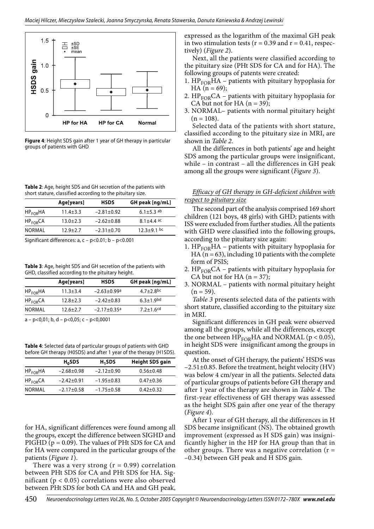

**Figure 4**: Height SDS gain after 1 year of GH therapy in particular groups of patients with GHD

**Table 2**: Age, height SDS and GH secretion of the patients with short stature, classified according to the pituitary size.

|                      | Age[years]     | <b>HSDS</b>      | GH peak [ng/mL]  |
|----------------------|----------------|------------------|------------------|
| $HP_{EOR}HA$         | $11.4 \pm 3.3$ | $-2.81 \pm 0.92$ | 6.1 $\pm$ 5.3 ab |
| HP <sub>FOR</sub> CA | $13.0 \pm 2.3$ | $-2.62 \pm 0.88$ | $8.1 + 4.4$ ac   |
| NORMAL               | $12.9 \pm 2.7$ | $-2.31 \pm 0.70$ | $12.3 + 9.1$ bc  |

Significant differences: a, c – p<0.01; b – p<0.001

**Table 3**: Age, height SDS and GH secretion of the patients with GHD, classified according to the pituitary height.

|                      | Age[years]     | <b>HSDS</b>                   | GH peak [ng/mL]           |
|----------------------|----------------|-------------------------------|---------------------------|
| $HP_{EOR}HA$         | $11.3 \pm 3.4$ | $-2.63 \pm 0.99$ <sup>a</sup> | $4.7 + 2.8$ bc            |
| HP <sub>FOR</sub> CA | $12.8 \pm 2.3$ | $-2.42 \pm 0.83$              | $6.3 + 1.9$ <sup>bd</sup> |
| NORMAL               | $12.6 \pm 2.7$ | $-2.17 + 0.35$ <sup>a</sup>   | $7.2 + 1.6$ <sup>cd</sup> |
|                      |                |                               |                           |

a – p<0,01; b, d – p<0,05; c – p<0,0001

**Table 4**: Selected data of particular groups of patients with GHD before GH therapy (H0SDS) and after 1 year of the therapy (H1SDS).

|              | $H_0$ SDS        | H <sub>1</sub> SDS | <b>Height SDS gain</b> |
|--------------|------------------|--------------------|------------------------|
| $HP_{EOR}HA$ | $-2.68 \pm 0.98$ | $-2.12 \pm 0.90$   | $0.56 + 0.48$          |
| $HP_{EOR}CA$ | $-2.42 \pm 0.91$ | $-1.95 \pm 0.83$   | $0.47 + 0.36$          |
| NORMAL       | $-2.17+0.58$     | $-1.75 \pm 0.58$   | $0.42 \pm 0.32$        |

for HA, significant differences were found among all the groups, except the difference between SIGHD and PIGHD  $(p = 0.09)$ . The values of PHt SDS for CA and for HA were compared in the particular groups of the patients (*Figure 1*).

There was a very strong  $(r = 0.99)$  correlation between PHt SDS for CA and PHt SDS for HA. Significant ( $p < 0.05$ ) correlations were also observed between PHt SDS for both CA and HA and GH peak,

expressed as the logarithm of the maximal GH peak in two stimulation tests ( $r = 0.39$  and  $r = 0.41$ , respectively) (*Figure 2*).

Next, all the patients were classified according to the pituitary size (PHt SDS for CA and for HA). The following groups of patents were created:

- 1.  $HP<sub>FOR</sub>HA$  patients with pituitary hypoplasia for HA  $(n = 69)$ ;
- 2.  $HP<sub>FOR</sub>CA$  patients with pituitary hypoplasia for CA but not for HA  $(n = 39)$ ;
- 3. NORMAL– patients with normal pituitary height  $(n = 108)$ .

Selected data of the patients with short stature, classified according to the pituitary size in MRI, are shown in *Table 2*.

All the differences in both patients' age and height SDS among the particular groups were insignificant, while – in contrast – all the differences in GH peak among all the groups were significant (*Figure 3*).

#### *Efficacy of GH therapy in GH-deficient children with respect to pituitary size*

The second part of the analysis comprised 169 short children (121 boys, 48 girls) with GHD; patients with ISS were excluded from further studies. All the patients with GHD were classified into the following groups, according to the pituitary size again:

- 1.  $HP<sub>FOR</sub>HA$  patients with pituitary hypoplasia for HA ( $n = 63$ ), including 10 patients with the complete form of PSIS;
- 2.  $HP<sub>FOR</sub>CA$  patients with pituitary hypoplasia for CA but not for HA  $(n = 37)$ ;
- 3. NORMAL patients with normal pituitary height  $(n = 59)$ .

*Table 3* presents selected data of the patients with short stature, classified according to the pituitary size in MRI.

Significant differences in GH peak were observed among all the groups, while all the differences, except the one between  $HP<sub>FOR</sub>HA$  and NORMAL ( $p < 0.05$ ), in height SDS were insignificant among the groups in question.

At the onset of GH therapy, the patients' HSDS was –2.51±0.85. Before the treatment, height velocity (HV) was below 4 cm/year in all the patients. Selected data of particular groups of patients before GH therapy and after 1 year of the therapy are shown in *Table 4*. The first-year effectiveness of GH therapy was assessed as the height SDS gain after one year of the therapy (*Figure 4*).

After 1 year of GH therapy, all the differences in H SDS became insignificant (NS). The obtained growth improvement (expressed as H SDS gain) was insignificantly higher in the HP for HA group than that in other groups. There was a negative correlation  $(r =$ –0.34) between GH peak and H SDS gain.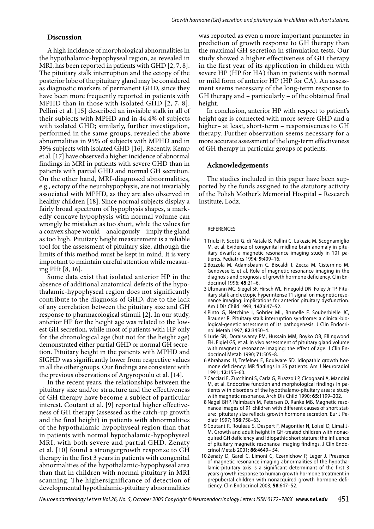#### **Discussion**

A high incidence of morphological abnormalities in the hypothalamic-hypophyseal region, as revealed in MRI, has been reported in patients with GHD [2, 7, 8]. The pituitary stalk interruption and the ectopy of the posterior lobe of the pituitary gland may be considered as diagnostic markers of permanent GHD, since they have been more frequently reported in patients with MPHD than in those with isolated GHD [2, 7, 8]. Pellini et al. [15] described an invisible stalk in all of their subjects with MPHD and in 44.4% of subjects with isolated GHD; similarly, further investigation, performed in the same groups, revealed the above abnormalities in 95% of subjects with MPHD and in 39% subjects with isolated GHD [16]. Recently, Kemp et al. [17] have observed a higher incidence of abnormal findings in MRI in patients with severe GHD than in patients with partial GHD and normal GH secretion. On the other hand, MRI-diagnosed abnormalities, e.g., ectopy of the neurohypophysis, are not invariably associated with MPHD, as they are also observed in healthy children [18]. Since normal subjects display a fairly broad spectrum of hypophysis shapes, a markedly concave hypophysis with normal volume can wrongly be mistaken as too short, while the values for a convex shape would – analogously – imply the gland as too high. Pituitary height measurement is a reliable tool for the assessment of pituitary size, although the limits of this method must be kept in mind. It is very important to maintain careful attention while measuring PHt [8, 16].

Some data exist that isolated anterior HP in the absence of additional anatomical defects of the hypothalamic-hypophyseal region does not significantly contribute to the diagnosis of GHD, due to the lack of any correlation between the pituitary size and GH response to pharmacological stimuli [2]. In our study, anterior HP for the height age was related to the lowest GH secretion, while most of patients with HP only for the chronological age (but not for the height age) demonstrated either partial GHD or normal GH secretion. Pituitary height in the patients with MPHD and SIGHD was significantly lower from respective values in all the other groups. Our findings are consistent with the previous observations of Argyropoulu et al. [14].

In the recent years, the relationships between the pituitary size and/or structure and the effectiveness of GH therapy have become a subject of particular interest. Coutant et al. [9] reported higher effectiveness of GH therapy (assessed as the catch-up growth and the final height) in patients with abnormalities of the hypothalamic-hypophyseal region than that in patients with normal hypothalamic-hypophyseal MRI, with both severe and partial GHD. Zenaty et al. [10] found a strongergrowth response to GH therapy in the first 3 years in patients with congenital abnormalities of the hypothalamic-hypophyseal area than that in children with normal pituitary in MRI scanning. The highersignificance of detection of developmental hypothalamic-pituitary abnormalities

was reported as even a more important parameter in prediction of growth response to GH therapy than the maximal GH secretion in stimulation tests. Our study showed a higher effectiveness of GH therapy in the first year of its application in children with severe HP (HP for HA) than in patients with normal or mild form of anterior HP (HP for CA). An assessment seems necessary of the long-term response to GH therapy and – particularly – of the obtained final height.

In conclusion, anterior HP with respect to patient's height age is connected with more severe GHD and a higher– at least, short-term – responsiveness to GH therapy. Further observation seems necessary for a more accurate assessment of the long-term effectiveness of GH therapy in particular groups of patients.

#### **Acknowledgements**

The studies included in this paper have been supported by the funds assigned to the statutory activity of the Polish Mother's Memorial Hospital – Research Institute, Lodz.

#### **REFERENCES**

- 1 Triulzi F, Scotti G, di Natale B, Pellini C, Lukezic M, Scognamiglio M, et al. Evidence of congenital midline brain anomaly in pituitary dwarfs: a magnetic resonance imaging study in 101 patients. Pediatrics 1994; **9**:409–16.
- 2 Bozzola M, Adamsbaum C, Biscaldi I, Zecca M, Cisternino M, Genovese E, et al. Role of magnetic resonance imaging in the diagnosis and prognosis of growth hormone deficiency. Clin Endocrinol 1996; **45**:21–6.
- 3 Ultmann MC, Siegel SF, Hirsch WL, Finegold DN, Foley Jr TP. Pituitary stalk and ectopic hyperintense T1 signal on magnetic resonance imaging: implications for anterior pituitary dysfunction. Am J Dis Child 1993; **147**:647–52.
- 4 Pinto G, Netchine I, Sobrier ML, Brunelle F, Souberbielle JC, Brauner R. Pituitary stalk interruption syndrome: a clinical-biological-genetic assessment of its pathogenesis. J Clin Endocrinol Metab 1997; **82**:3450–4.
- 5 Lurie SN, Doraiswamy PM, Hussain MM, Boyko OB, Ellingwood EH, Figiel GS, et al. In vivo assessment of pituitary gland volume with magnetic resonance imaging: the effect of age. J Clin Endocrinol Metab 1990; **71**:505–8.
- 6 Abrahams JJ, Trefelner E, Boulware SD. Idiopathic growth hormone deficiency: MR findings in 35 patients. Am J Neuroradiol 1991; **12**:155–60.
- 7 Cacciari E, Zucchinni S, Carla G, Pirazzoli P, Cicognani A, Mandini M, et al. Endocrine function and morphological findings in patients with disorders of the hypothalamo-pituitary area: a study with magnetic resonance. Arch Dis Child 1990; **65**:1199–202.
- 8 Nagel BHP, Palmbach M, Petersen D, Ranke MB. Magnetic resonance images of 91 children with different causes of short stature: pituitary size reflects growth hormone secretion. Eur J Pediatr 1997; **156**:758–63.
- 9 Coutant R, Rouleau S, Despert F, Magontier N, Loisel D, Limal J-M. Growth and adult height in GH-treated children with nonacquired GH deficiency and idiopathic short stature: the influence of pituitary magnetic resonance imaging findings. J Clin Endocrinol Metab 2001; **86**:4649– 54.
- 10 Zenaty D, Garel C, Limoni C, Czernichow P, Leger J. Presence of magnetic resonance imaging abnormalities of the hypothalamic-pituitary axis is a significant determinant of the first 3 years growth response to human growth hormone treatment in prepubertal children with nonacquired growth hormone deficiency. Clin Endocrinol 2003; **58**:647–52.

Neuroendocrinology Letters Vol.26, No. 5, October 2005 Copyright © Neuroendocrinology Letters ISSN 0172–780X *www.nel.edu* 451